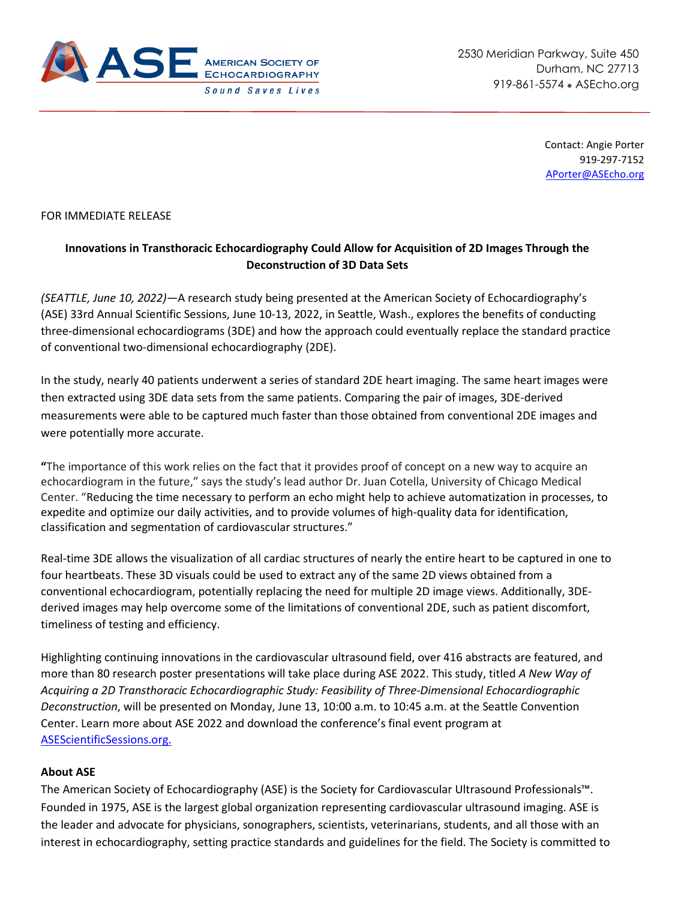

Contact: Angie Porter 919-297-7152 [APorter@ASEcho.org](mailto:APorter@ASEcho.org)

## FOR IMMEDIATE RELEASE

## **Innovations in Transthoracic Echocardiography Could Allow for Acquisition of 2D Images Through the Deconstruction of 3D Data Sets**

*(SEATTLE, June 10, 2022)—*A research study being presented at the American Society of Echocardiography's (ASE) 33rd Annual Scientific Sessions, June 10-13, 2022, in Seattle, Wash., explores the benefits of conducting three-dimensional echocardiograms (3DE) and how the approach could eventually replace the standard practice of conventional two-dimensional echocardiography (2DE).

In the study, nearly 40 patients underwent a series of standard 2DE heart imaging. The same heart images were then extracted using 3DE data sets from the same patients. Comparing the pair of images, 3DE-derived measurements were able to be captured much faster than those obtained from conventional 2DE images and were potentially more accurate.

**"**The importance of this work relies on the fact that it provides proof of concept on a new way to acquire an echocardiogram in the future," says the study's lead author Dr. Juan Cotella, University of Chicago Medical Center. "Reducing the time necessary to perform an echo might help to achieve automatization in processes, to expedite and optimize our daily activities, and to provide volumes of high-quality data for identification, classification and segmentation of cardiovascular structures."

Real-time 3DE allows the visualization of all cardiac structures of nearly the entire heart to be captured in one to four heartbeats. These 3D visuals could be used to extract any of the same 2D views obtained from a conventional echocardiogram, potentially replacing the need for multiple 2D image views. Additionally, 3DEderived images may help overcome some of the limitations of conventional 2DE, such as patient discomfort, timeliness of testing and efficiency.

Highlighting continuing innovations in the cardiovascular ultrasound field, over 416 abstracts are featured, and more than 80 research poster presentations will take place during ASE 2022. This study, titled *A New Way of Acquiring a 2D Transthoracic Echocardiographic Study: Feasibility of Three-Dimensional Echocardiographic Deconstruction*, will be presented on Monday, June 13, 10:00 a.m. to 10:45 a.m. at the Seattle Convention Center. Learn more about ASE 2022 and download the conference's final event program at [ASEScientificSessions.org.](http://www.asescientificsessions.org/)

## **About ASE**

The American Society of Echocardiography (ASE) is the Society for Cardiovascular Ultrasound Professionals™. Founded in 1975, ASE is the largest global organization representing cardiovascular ultrasound imaging. ASE is the leader and advocate for physicians, sonographers, scientists, veterinarians, students, and all those with an interest in echocardiography, setting practice standards and guidelines for the field. The Society is committed to